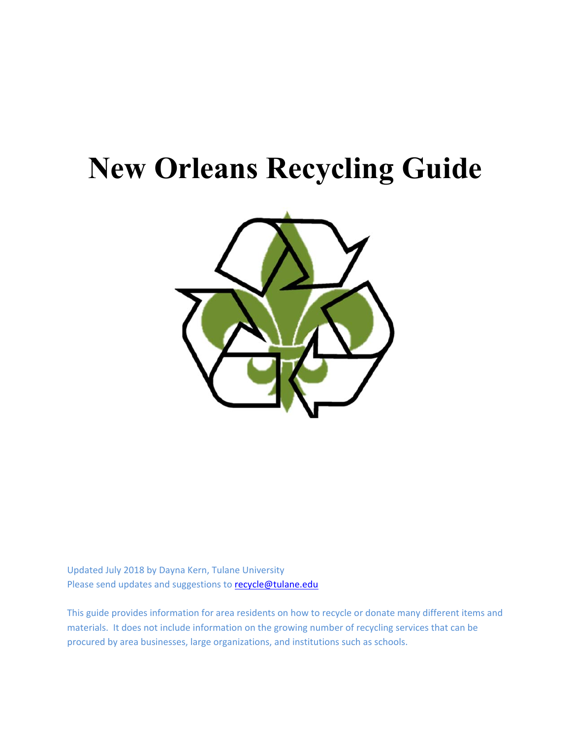# **New Orleans Recycling Guide**



Updated July 2018 by Dayna Kern, Tulane University Please send updates and suggestions to recycle@tulane.edu

This guide provides information for area residents on how to recycle or donate many different items and materials. It does not include information on the growing number of recycling services that can be procured by area businesses, large organizations, and institutions such as schools.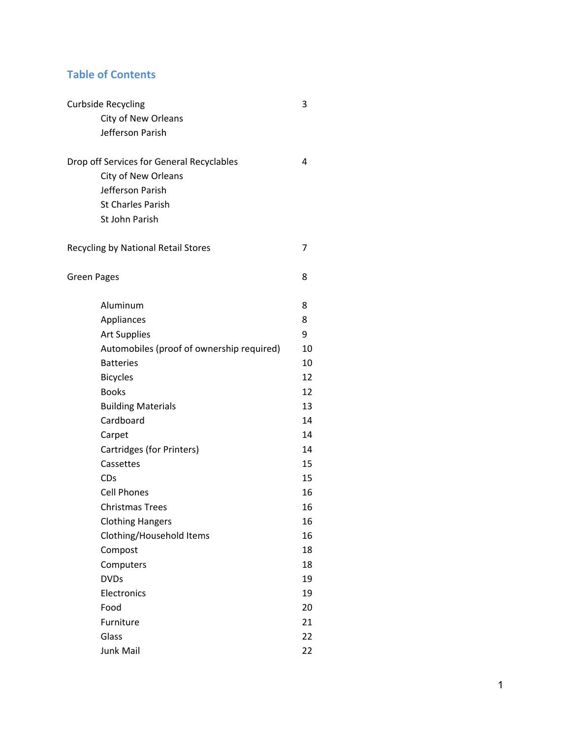# **Table of Contents**

| <b>Curbside Recycling</b>                 | 3  |
|-------------------------------------------|----|
| City of New Orleans                       |    |
| Jefferson Parish                          |    |
| Drop off Services for General Recyclables | 4  |
| City of New Orleans                       |    |
| Jefferson Parish                          |    |
| <b>St Charles Parish</b>                  |    |
| St John Parish                            |    |
| Recycling by National Retail Stores       | 7  |
| <b>Green Pages</b>                        | 8  |
| Aluminum                                  | 8  |
| Appliances                                | 8  |
| <b>Art Supplies</b>                       | 9  |
| Automobiles (proof of ownership required) | 10 |
| <b>Batteries</b>                          | 10 |
| <b>Bicycles</b>                           | 12 |
| <b>Books</b>                              | 12 |
| <b>Building Materials</b>                 | 13 |
| Cardboard                                 | 14 |
| Carpet                                    | 14 |
| Cartridges (for Printers)                 | 14 |
| Cassettes                                 | 15 |
| CDs                                       | 15 |
| <b>Cell Phones</b>                        | 16 |
| <b>Christmas Trees</b>                    | 16 |
| <b>Clothing Hangers</b>                   | 16 |
| Clothing/Household Items                  | 16 |
| Compost                                   | 18 |
| Computers                                 | 18 |
| <b>DVDs</b>                               | 19 |
| Electronics                               | 19 |
| Food                                      | 20 |
| Furniture                                 | 21 |
| Glass                                     | 22 |
| <b>Junk Mail</b>                          | 22 |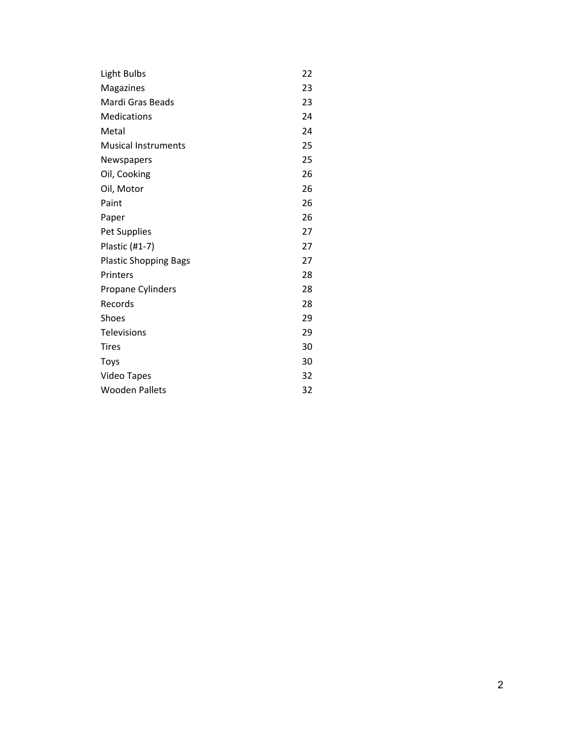| Light Bulbs                  | 22 |
|------------------------------|----|
| Magazines                    | 23 |
| Mardi Gras Beads             | 23 |
| <b>Medications</b>           | 24 |
| Metal                        | 24 |
| <b>Musical Instruments</b>   | 25 |
| Newspapers                   | 25 |
| Oil, Cooking                 | 26 |
| Oil, Motor                   | 26 |
| Paint                        | 26 |
| Paper                        | 26 |
| Pet Supplies                 | 27 |
| Plastic (#1-7)               | 27 |
| <b>Plastic Shopping Bags</b> | 27 |
| Printers                     | 28 |
| <b>Propane Cylinders</b>     | 28 |
| Records                      | 28 |
| Shoes                        | 29 |
| <b>Televisions</b>           | 29 |
| <b>Tires</b>                 | 30 |
| <b>Toys</b>                  | 30 |
| <b>Video Tapes</b>           | 32 |
| <b>Wooden Pallets</b>        | 32 |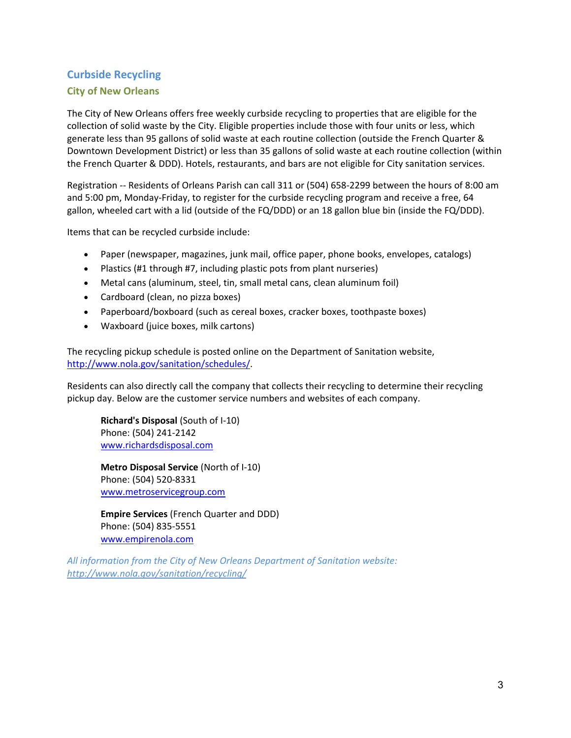# **Curbside Recycling**

# **City of New Orleans**

The City of New Orleans offers free weekly curbside recycling to properties that are eligible for the collection of solid waste by the City. Eligible properties include those with four units or less, which generate less than 95 gallons of solid waste at each routine collection (outside the French Quarter & Downtown Development District) or less than 35 gallons of solid waste at each routine collection (within the French Quarter & DDD). Hotels, restaurants, and bars are not eligible for City sanitation services.

Registration ‐‐ Residents of Orleans Parish can call 311 or (504) 658‐2299 between the hours of 8:00 am and 5:00 pm, Monday‐Friday, to register for the curbside recycling program and receive a free, 64 gallon, wheeled cart with a lid (outside of the FQ/DDD) or an 18 gallon blue bin (inside the FQ/DDD).

Items that can be recycled curbside include:

- Paper (newspaper, magazines, junk mail, office paper, phone books, envelopes, catalogs)
- Plastics (#1 through #7, including plastic pots from plant nurseries)
- Metal cans (aluminum, steel, tin, small metal cans, clean aluminum foil)
- Cardboard (clean, no pizza boxes)
- Paperboard/boxboard (such as cereal boxes, cracker boxes, toothpaste boxes)
- Waxboard (juice boxes, milk cartons)

The recycling pickup schedule is posted online on the Department of Sanitation website, http://www.nola.gov/sanitation/schedules/.

Residents can also directly call the company that collects their recycling to determine their recycling pickup day. Below are the customer service numbers and websites of each company.

**Richard's Disposal** (South of I‐10) Phone: (504) 241‐2142 www.richardsdisposal.com

**Metro Disposal Service** (North of I‐10) Phone: (504) 520‐8331 www.metroservicegroup.com

**Empire Services** (French Quarter and DDD) Phone: (504) 835‐5551 www.empirenola.com

*All information from the City of New Orleans Department of Sanitation website: http://www.nola.gov/sanitation/recycling/*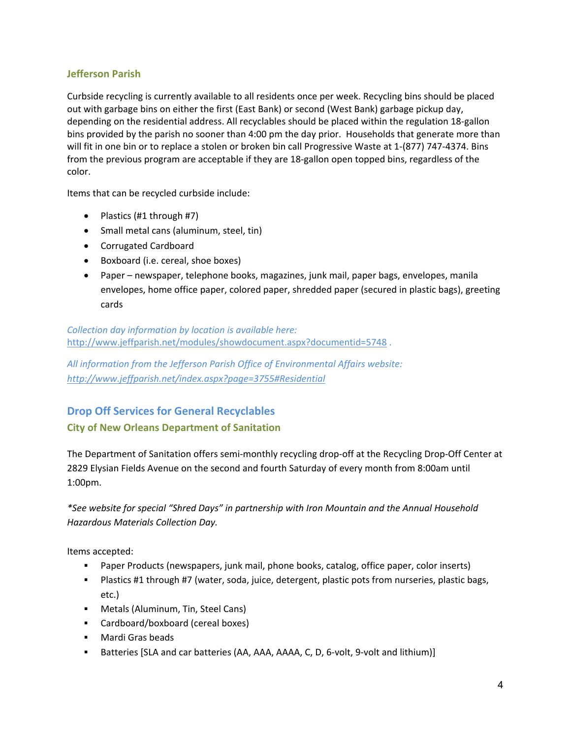# **Jefferson Parish**

Curbside recycling is currently available to all residents once per week. Recycling bins should be placed out with garbage bins on either the first (East Bank) or second (West Bank) garbage pickup day, depending on the residential address. All recyclables should be placed within the regulation 18‐gallon bins provided by the parish no sooner than 4:00 pm the day prior. Households that generate more than will fit in one bin or to replace a stolen or broken bin call Progressive Waste at 1-(877) 747-4374. Bins from the previous program are acceptable if they are 18‐gallon open topped bins, regardless of the color.

Items that can be recycled curbside include:

- Plastics  $(H1$  through  $H7)$
- Small metal cans (aluminum, steel, tin)
- Corrugated Cardboard
- Boxboard (i.e. cereal, shoe boxes)
- Paper newspaper, telephone books, magazines, junk mail, paper bags, envelopes, manila envelopes, home office paper, colored paper, shredded paper (secured in plastic bags), greeting cards

*Collection day information by location is available here:*  http://www.jeffparish.net/modules/showdocument.aspx?documentid=5748.

*All information from the Jefferson Parish Office of Environmental Affairs website: http://www.jeffparish.net/index.aspx?page=3755#Residential* 

# **Drop Off Services for General Recyclables**

# **City of New Orleans Department of Sanitation**

The Department of Sanitation offers semi-monthly recycling drop-off at the Recycling Drop-Off Center at 2829 Elysian Fields Avenue on the second and fourth Saturday of every month from 8:00am until 1:00pm.

*\*See website for special "Shred Days" in partnership with Iron Mountain and the Annual Household Hazardous Materials Collection Day.* 

Items accepted:

- Paper Products (newspapers, junk mail, phone books, catalog, office paper, color inserts)
- Plastics #1 through #7 (water, soda, juice, detergent, plastic pots from nurseries, plastic bags, etc.)
- **Metals (Aluminum, Tin, Steel Cans)**
- Cardboard/boxboard (cereal boxes)
- **Mardi Gras beads**
- Batteries [SLA and car batteries (AA, AAA, AAAA, C, D, 6-volt, 9-volt and lithium)]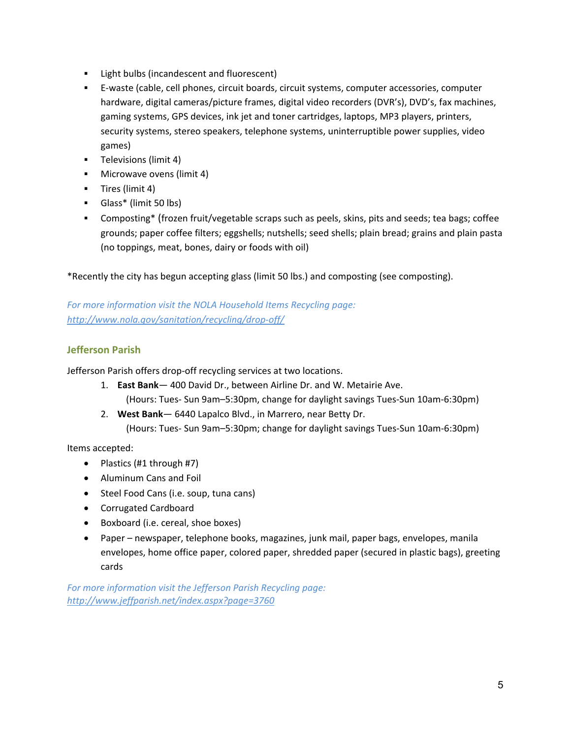- **EXECT** Light bulbs (incandescent and fluorescent)
- E‐waste (cable, cell phones, circuit boards, circuit systems, computer accessories, computer hardware, digital cameras/picture frames, digital video recorders (DVR's), DVD's, fax machines, gaming systems, GPS devices, ink jet and toner cartridges, laptops, MP3 players, printers, security systems, stereo speakers, telephone systems, uninterruptible power supplies, video games)
- **Televisions (limit 4)**
- **Microwave ovens (limit 4)**
- **Tires (limit 4)**
- Glass\* (limit 50 lbs)
- Composting\* (frozen fruit/vegetable scraps such as peels, skins, pits and seeds; tea bags; coffee grounds; paper coffee filters; eggshells; nutshells; seed shells; plain bread; grains and plain pasta (no toppings, meat, bones, dairy or foods with oil)

\*Recently the city has begun accepting glass (limit 50 lbs.) and composting (see composting).

*For more information visit the NOLA Household Items Recycling page: http://www.nola.gov/sanitation/recycling/drop‐off/*

# **Jefferson Parish**

Jefferson Parish offers drop-off recycling services at two locations.

- 1. **East Bank** 400 David Dr., between Airline Dr. and W. Metairie Ave.
	- (Hours: Tues‐ Sun 9am–5:30pm, change for daylight savings Tues‐Sun 10am‐6:30pm)
- 2. **West Bank** 6440 Lapalco Blvd., in Marrero, near Betty Dr. (Hours: Tues‐ Sun 9am–5:30pm; change for daylight savings Tues‐Sun 10am‐6:30pm)

Items accepted:

- Plastics (#1 through #7)
- Aluminum Cans and Foil
- Steel Food Cans (i.e. soup, tuna cans)
- Corrugated Cardboard
- Boxboard (i.e. cereal, shoe boxes)
- Paper newspaper, telephone books, magazines, junk mail, paper bags, envelopes, manila envelopes, home office paper, colored paper, shredded paper (secured in plastic bags), greeting cards

*For more information visit the Jefferson Parish Recycling page: http://www.jeffparish.net/index.aspx?page=3760*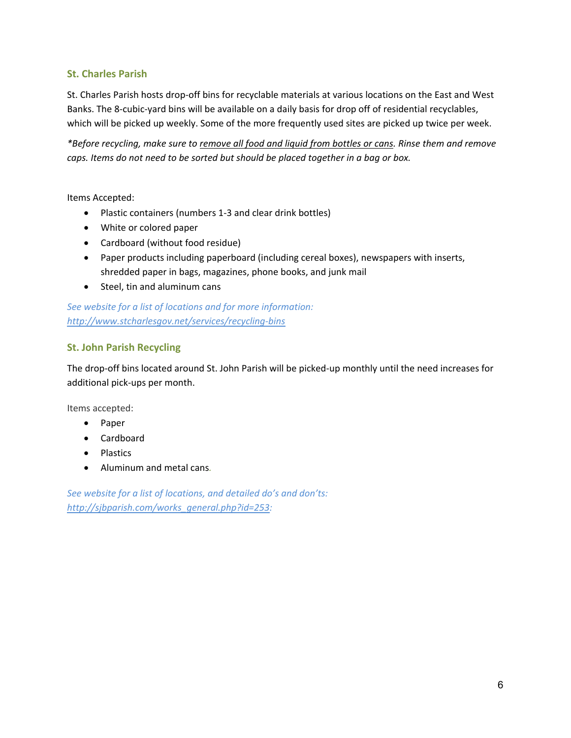# **St. Charles Parish**

St. Charles Parish hosts drop‐off bins for recyclable materials at various locations on the East and West Banks. The 8-cubic-yard bins will be available on a daily basis for drop off of residential recyclables, which will be picked up weekly. Some of the more frequently used sites are picked up twice per week.

*\*Before recycling, make sure to remove all food and liquid from bottles or cans. Rinse them and remove caps. Items do not need to be sorted but should be placed together in a bag or box.* 

Items Accepted:

- Plastic containers (numbers 1-3 and clear drink bottles)
- White or colored paper
- Cardboard (without food residue)
- Paper products including paperboard (including cereal boxes), newspapers with inserts, shredded paper in bags, magazines, phone books, and junk mail
- Steel, tin and aluminum cans

*See website for a list of locations and for more information: http://www.stcharlesgov.net/services/recycling‐bins*

# **St. John Parish Recycling**

The drop-off bins located around St. John Parish will be picked-up monthly until the need increases for additional pick‐ups per month.

Items accepted:

- Paper
- Cardboard
- Plastics
- Aluminum and metal cans*.*

*See website for a list of locations, and detailed do's and don'ts: http://sjbparish.com/works\_general.php?id=253:*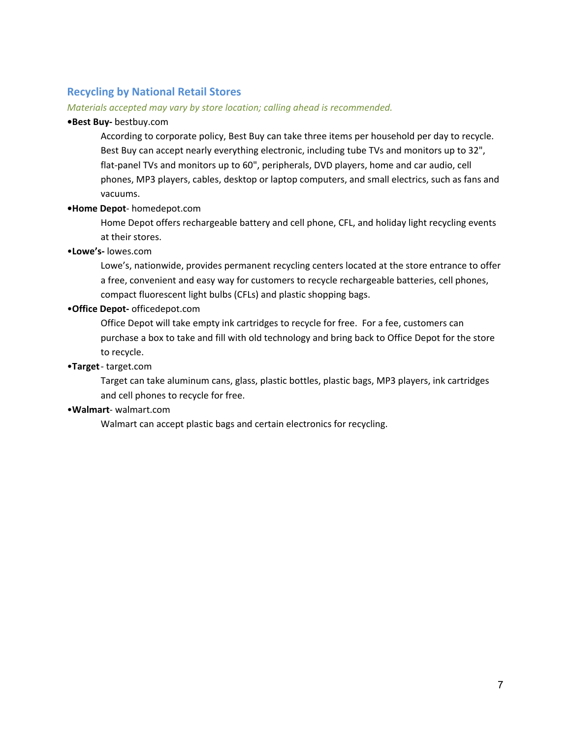# **Recycling by National Retail Stores**

#### *Materials accepted may vary by store location; calling ahead is recommended.*

#### **•Best Buy‐** bestbuy.com

According to corporate policy, Best Buy can take three items per household per day to recycle. Best Buy can accept nearly everything electronic, including tube TVs and monitors up to 32", flat-panel TVs and monitors up to 60", peripherals, DVD players, home and car audio, cell phones, MP3 players, cables, desktop or laptop computers, and small electrics, such as fans and vacuums.

#### **•Home Depot**‐ homedepot.com

Home Depot offers rechargeable battery and cell phone, CFL, and holiday light recycling events at their stores.

# •**Lowe's‐** lowes.com

Lowe's, nationwide, provides permanent recycling centers located at the store entrance to offer a free, convenient and easy way for customers to recycle rechargeable batteries, cell phones, compact fluorescent light bulbs (CFLs) and plastic shopping bags.

#### •**Office Depot‐** officedepot.com

Office Depot will take empty ink cartridges to recycle for free. For a fee, customers can purchase a box to take and fill with old technology and bring back to Office Depot for the store to recycle.

## •**Target** ‐ target.com

Target can take aluminum cans, glass, plastic bottles, plastic bags, MP3 players, ink cartridges and cell phones to recycle for free.

# •**Walmart**‐ walmart.com

Walmart can accept plastic bags and certain electronics for recycling.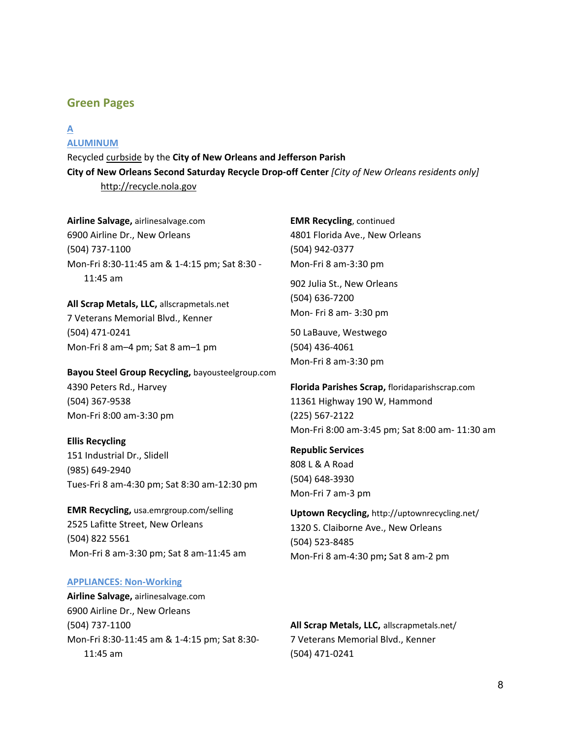# **Green Pages**

# **A**

# **ALUMINUM**

Recycled curbside by the **City of New Orleans and Jefferson Parish City of New Orleans Second Saturday Recycle Drop‐off Center** *[City of New Orleans residents only]*  http://recycle.nola.gov

**Airline Salvage,** airlinesalvage.com 6900 Airline Dr., New Orleans (504) 737‐1100 Mon‐Fri 8:30‐11:45 am & 1‐4:15 pm; Sat 8:30 ‐ 11:45 am

**All Scrap Metals, LLC,** allscrapmetals.net 7 Veterans Memorial Blvd., Kenner (504) 471‐0241 Mon‐Fri 8 am–4 pm; Sat 8 am–1 pm

**Bayou Steel Group Recycling,** bayousteelgroup.com 4390 Peters Rd., Harvey (504) 367‐9538 Mon‐Fri 8:00 am‐3:30 pm

#### **Ellis Recycling**

151 Industrial Dr., Slidell (985) 649‐2940 Tues‐Fri 8 am‐4:30 pm; Sat 8:30 am‐12:30 pm

**EMR Recycling,** usa.emrgroup.com/selling 2525 Lafitte Street, New Orleans (504) 822 5561 Mon‐Fri 8 am‐3:30 pm; Sat 8 am‐11:45 am

#### **APPLIANCES: Non‐Working**

**Airline Salvage,** airlinesalvage.com 6900 Airline Dr., New Orleans (504) 737‐1100 Mon‐Fri 8:30‐11:45 am & 1‐4:15 pm; Sat 8:30‐ 11:45 am

**EMR Recycling**, continued 4801 Florida Ave., New Orleans (504) 942‐0377 Mon‐Fri 8 am‐3:30 pm

902 Julia St., New Orleans (504) 636‐7200 Mon‐ Fri 8 am‐ 3:30 pm

50 LaBauve, Westwego (504) 436‐4061 Mon‐Fri 8 am‐3:30 pm

**Florida Parishes Scrap,** floridaparishscrap.com 11361 Highway 190 W, Hammond (225) 567‐2122 Mon‐Fri 8:00 am‐3:45 pm; Sat 8:00 am‐ 11:30 am

**Republic Services** 808 L & A Road (504) 648‐3930 Mon‐Fri 7 am‐3 pm

**Uptown Recycling,** http://uptownrecycling.net/ 1320 S. Claiborne Ave., New Orleans (504) 523‐8485 Mon‐Fri 8 am‐4:30 pm**;** Sat 8 am‐2 pm

**All Scrap Metals, LLC,** allscrapmetals.net/ 7 Veterans Memorial Blvd., Kenner (504) 471‐0241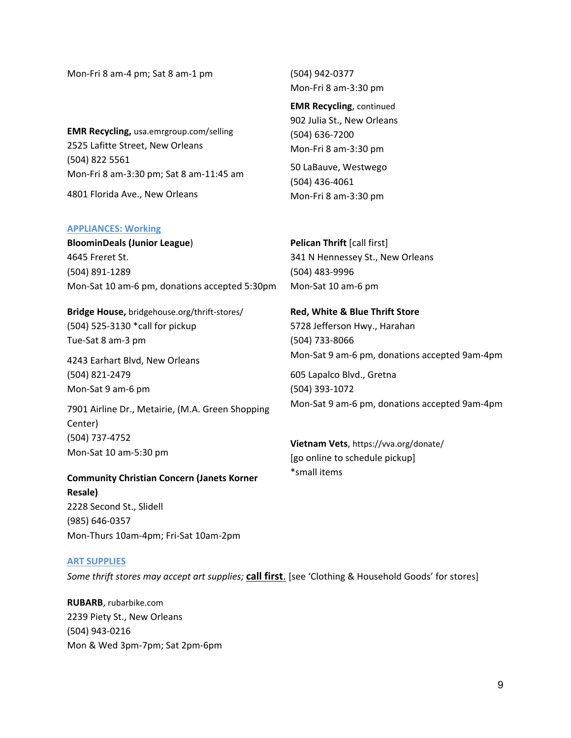Mon‐Fri 8 am‐4 pm; Sat 8 am‐1 pm

**EMR Recycling,** usa.emrgroup.com/selling 2525 Lafitte Street, New Orleans (504) 822 5561 Mon‐Fri 8 am‐3:30 pm; Sat 8 am‐11:45 am

4801 Florida Ave., New Orleans

#### **APPLIANCES: Working**

**BloominDeals (Junior League**) 4645 Freret St. (504) 891‐1289 Mon‐Sat 10 am‐6 pm, donations accepted 5:30pm

**Bridge House,** bridgehouse.org/thrift‐stores/ (504) 525‐3130 \*call for pickup Tue‐Sat 8 am‐3 pm

4243 Earhart Blvd, New Orleans (504) 821‐2479 Mon‐Sat 9 am‐6 pm

7901 Airline Dr., Metairie, (M.A. Green Shopping Center) (504) 737‐4752 Mon‐Sat 10 am‐5:30 pm

**Community Christian Concern (Janets Korner Resale)**  2228 Second St., Slidell (985) 646‐0357 Mon‐Thurs 10am‐4pm; Fri‐Sat 10am‐2pm

#### **ART SUPPLIES**

*Some thrift stores may accept art supplies;* **call first**. [see 'Clothing & Household Goods' for stores]

**RUBARB**, rubarbike.com 2239 Piety St., New Orleans (504) 943‐0216 Mon & Wed 3pm‐7pm; Sat 2pm‐6pm (504) 942‐0377 Mon‐Fri 8 am‐3:30 pm

**EMR Recycling**, continued 902 Julia St., New Orleans (504) 636‐7200 Mon‐Fri 8 am‐3:30 pm

50 LaBauve, Westwego (504) 436‐4061 Mon‐Fri 8 am‐3:30 pm

**Pelican Thrift** [call first] 341 N Hennessey St., New Orleans (504) 483‐9996 Mon‐Sat 10 am‐6 pm

**Red, White & Blue Thrift Store** 5728 Jefferson Hwy., Harahan (504) 733‐8066 Mon‐Sat 9 am‐6 pm, donations accepted 9am‐4pm

605 Lapalco Blvd., Gretna (504) 393‐1072 Mon‐Sat 9 am‐6 pm, donations accepted 9am‐4pm

**Vietnam Vets**, https://vva.org/donate/ [go online to schedule pickup] \*small items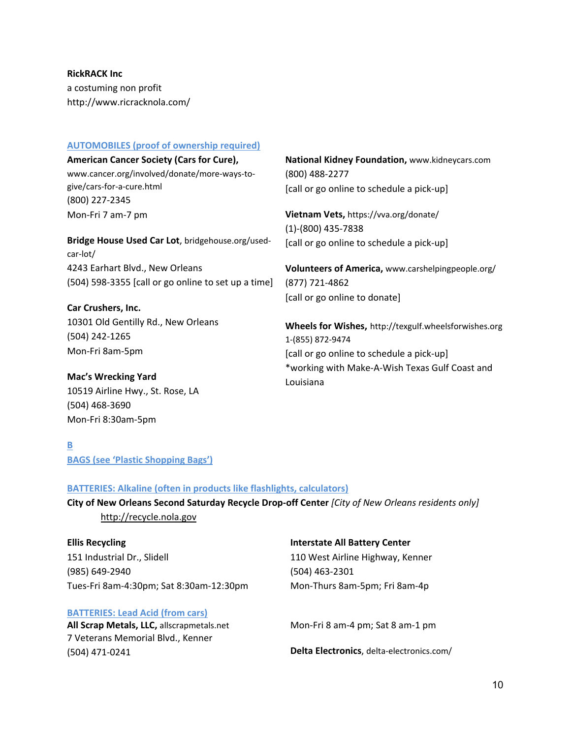**RickRACK Inc** a costuming non profit http://www.ricracknola.com/

## **AUTOMOBILES (proof of ownership required)**

**American Cancer Society (Cars for Cure),** www.cancer.org/involved/donate/more‐ways‐to‐ give/cars‐for‐a‐cure.html (800) 227‐2345 Mon‐Fri 7 am‐7 pm

**Bridge House Used Car Lot**, bridgehouse.org/used‐ car‐lot/ 4243 Earhart Blvd., New Orleans (504) 598‐3355 [call or go online to set up a time]

**Car Crushers, Inc.** 10301 Old Gentilly Rd., New Orleans (504) 242‐1265 Mon‐Fri 8am‐5pm

**Mac's Wrecking Yard**  10519 Airline Hwy., St. Rose, LA (504) 468‐3690 Mon‐Fri 8:30am‐5pm

**National Kidney Foundation,** www.kidneycars.com (800) 488‐2277 [call or go online to schedule a pick‐up]

**Vietnam Vets,** https://vva.org/donate/ (1)‐(800) 435‐7838 [call or go online to schedule a pick-up]

**Volunteers of America,** www.carshelpingpeople.org/ (877) 721‐4862 [call or go online to donate]

**Wheels for Wishes,** http://texgulf.wheelsforwishes.org 1‐(855) 872‐9474 [call or go online to schedule a pick‐up] \*working with Make‐A‐Wish Texas Gulf Coast and Louisiana

**B BAGS (see 'Plastic Shopping Bags')** 

# **BATTERIES: Alkaline (often in products like flashlights, calculators)**

**City of New Orleans Second Saturday Recycle Drop‐off Center** *[City of New Orleans residents only]*  http://recycle.nola.gov

**Ellis Recycling** 151 Industrial Dr., Slidell (985) 649‐2940 Tues‐Fri 8am‐4:30pm; Sat 8:30am‐12:30pm

#### **BATTERIES: Lead Acid (from cars)**

**All Scrap Metals, LLC,** allscrapmetals.net 7 Veterans Memorial Blvd., Kenner (504) 471‐0241

#### **Interstate All Battery Center**

110 West Airline Highway, Kenner (504) 463‐2301 Mon‐Thurs 8am‐5pm; Fri 8am‐4p

Mon‐Fri 8 am‐4 pm; Sat 8 am‐1 pm

**Delta Electronics**, delta‐electronics.com/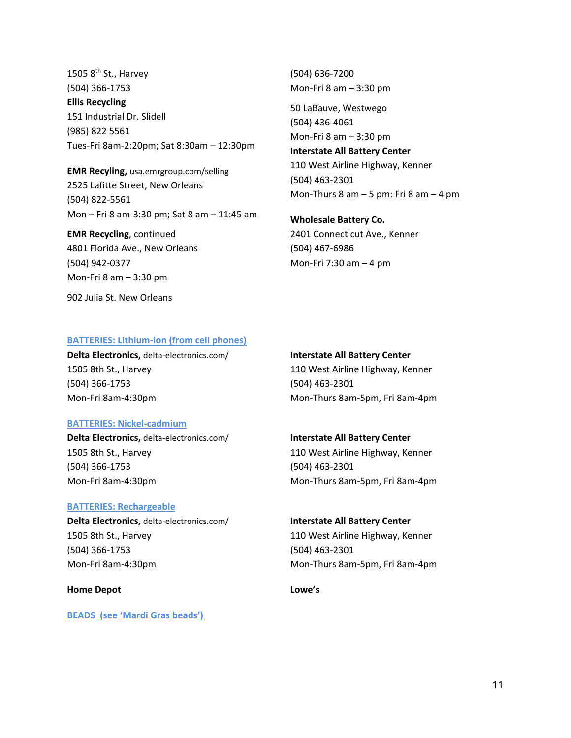1505  $8<sup>th</sup>$  St., Harvey (504) 366‐1753 **Ellis Recycling**  151 Industrial Dr. Slidell (985) 822 5561 Tues‐Fri 8am‐2:20pm; Sat 8:30am – 12:30pm

**EMR Recyling,** usa.emrgroup.com/selling 2525 Lafitte Street, New Orleans (504) 822‐5561 Mon – Fri 8 am‐3:30 pm; Sat 8 am – 11:45 am

**EMR Recycling**, continued 4801 Florida Ave., New Orleans (504) 942‐0377 Mon‐Fri 8 am – 3:30 pm

902 Julia St. New Orleans

(504) 636‐7200 Mon‐Fri 8 am – 3:30 pm

50 LaBauve, Westwego (504) 436‐4061 Mon‐Fri 8 am – 3:30 pm

**Interstate All Battery Center** 110 West Airline Highway, Kenner (504) 463‐2301 Mon‐Thurs 8 am – 5 pm: Fri 8 am – 4 pm

**Wholesale Battery Co.**  2401 Connecticut Ave., Kenner (504) 467‐6986 Mon-Fri 7:30 am  $-4$  pm

#### **BATTERIES: Lithium‐ion (from cell phones)**

**Delta Electronics,** delta‐electronics.com/ 1505 8th St., Harvey (504) 366‐1753 Mon‐Fri 8am‐4:30pm

## **BATTERIES: Nickel‐cadmium**

**Delta Electronics,** delta‐electronics.com/ 1505 8th St., Harvey (504) 366‐1753 Mon‐Fri 8am‐4:30pm

#### **BATTERIES: Rechargeable**

**Delta Electronics,** delta‐electronics.com/ 1505 8th St., Harvey (504) 366‐1753 Mon‐Fri 8am‐4:30pm

#### **Home Depot**

**BEADS (see 'Mardi Gras beads')**

#### **Interstate All Battery Center**

110 West Airline Highway, Kenner (504) 463‐2301 Mon‐Thurs 8am‐5pm, Fri 8am‐4pm

#### **Interstate All Battery Center**

110 West Airline Highway, Kenner (504) 463‐2301 Mon‐Thurs 8am‐5pm, Fri 8am‐4pm

#### **Interstate All Battery Center**

110 West Airline Highway, Kenner (504) 463‐2301 Mon‐Thurs 8am‐5pm, Fri 8am‐4pm

#### **Lowe's**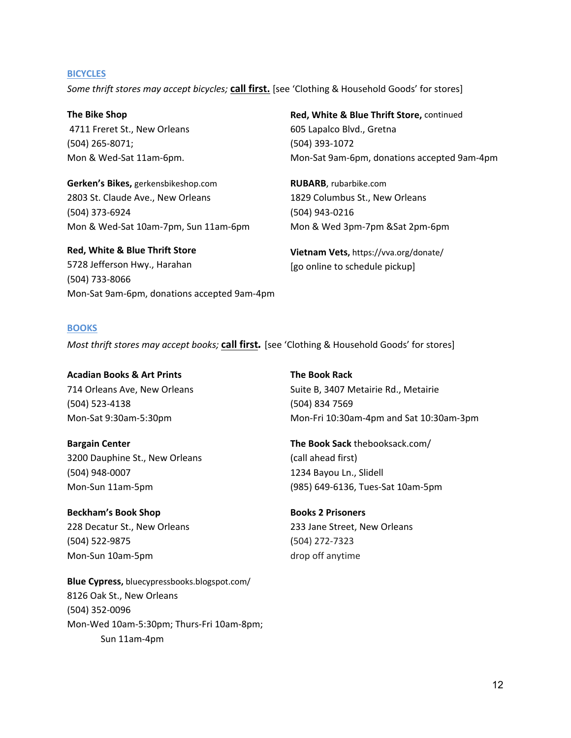#### **BICYCLES**

*Some thrift stores may accept bicycles;* **call first.** [see 'Clothing & Household Goods' for stores]

**The Bike Shop**  4711 Freret St., New Orleans (504) 265‐8071; Mon & Wed‐Sat 11am‐6pm.

**Gerken's Bikes,** gerkensbikeshop.com 2803 St. Claude Ave., New Orleans (504) 373‐6924 Mon & Wed‐Sat 10am‐7pm, Sun 11am‐6pm

**Red, White & Blue Thrift Store** 5728 Jefferson Hwy., Harahan (504) 733‐8066 Mon‐Sat 9am‐6pm, donations accepted 9am‐4pm

**Red, White & Blue Thrift Store,** continued 605 Lapalco Blvd., Gretna (504) 393‐1072 Mon‐Sat 9am‐6pm, donations accepted 9am‐4pm

**RUBARB**, rubarbike.com 1829 Columbus St., New Orleans (504) 943‐0216 Mon & Wed 3pm‐7pm &Sat 2pm‐6pm

**Vietnam Vets,** https://vva.org/donate/ [go online to schedule pickup]

#### **BOOKS**

*Most thrift stores may accept books;* **call first***.* [see 'Clothing & Household Goods' for stores]

**Acadian Books & Art Prints** 714 Orleans Ave, New Orleans (504) 523‐4138 Mon‐Sat 9:30am‐5:30pm

**Bargain Center**  3200 Dauphine St., New Orleans (504) 948‐0007 Mon‐Sun 11am‐5pm

**Beckham's Book Shop**  228 Decatur St., New Orleans (504) 522‐9875 Mon‐Sun 10am‐5pm

**Blue Cypress,** bluecypressbooks.blogspot.com/ 8126 Oak St., New Orleans (504) 352‐0096 Mon‐Wed 10am‐5:30pm; Thurs‐Fri 10am‐8pm; Sun 11am‐4pm

**The Book Rack**  Suite B, 3407 Metairie Rd., Metairie (504) 834 7569 Mon‐Fri 10:30am‐4pm and Sat 10:30am‐3pm

**The Book Sack** thebooksack.com/ (call ahead first) 1234 Bayou Ln., Slidell (985) 649‐6136, Tues‐Sat 10am‐5pm

**Books 2 Prisoners**  233 Jane Street, New Orleans (504) 272‐7323 drop off anytime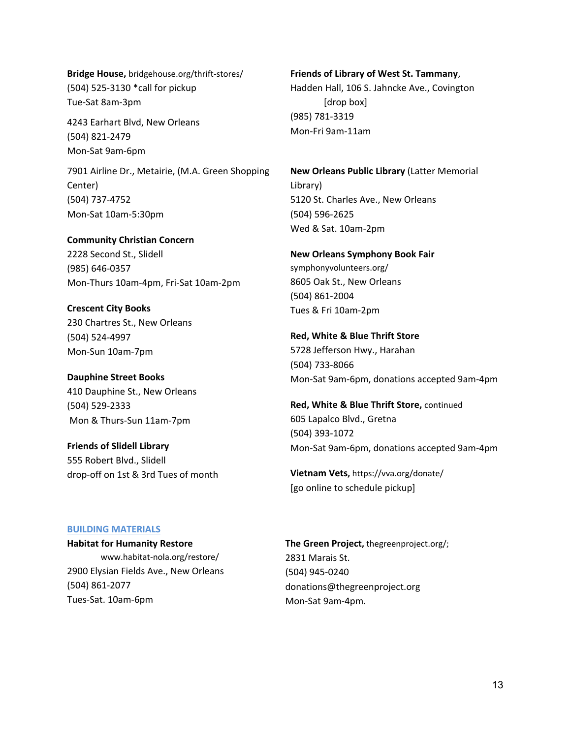**Bridge House,** bridgehouse.org/thrift‐stores/ (504) 525‐3130 \*call for pickup Tue‐Sat 8am‐3pm

4243 Earhart Blvd, New Orleans (504) 821‐2479 Mon‐Sat 9am‐6pm

7901 Airline Dr., Metairie, (M.A. Green Shopping Center) (504) 737‐4752 Mon‐Sat 10am‐5:30pm

**Community Christian Concern** 2228 Second St., Slidell (985) 646‐0357 Mon‐Thurs 10am‐4pm, Fri‐Sat 10am‐2pm

**Crescent City Books**  230 Chartres St., New Orleans (504) 524‐4997 Mon‐Sun 10am‐7pm

**Dauphine Street Books** 410 Dauphine St., New Orleans (504) 529‐2333 Mon & Thurs‐Sun 11am‐7pm

**Friends of Slidell Library**  555 Robert Blvd., Slidell drop‐off on 1st & 3rd Tues of month

**Friends of Library of West St. Tammany**, Hadden Hall, 106 S. Jahncke Ave., Covington [drop box] (985) 781‐3319 Mon‐Fri 9am‐11am

**New Orleans Public Library** (Latter Memorial Library) 5120 St. Charles Ave., New Orleans (504) 596‐2625 Wed & Sat. 10am‐2pm

**New Orleans Symphony Book Fair**  symphonyvolunteers.org/ 8605 Oak St., New Orleans (504) 861‐2004 Tues & Fri 10am‐2pm

**Red, White & Blue Thrift Store** 5728 Jefferson Hwy., Harahan (504) 733‐8066 Mon‐Sat 9am‐6pm, donations accepted 9am‐4pm

**Red, White & Blue Thrift Store,** continued 605 Lapalco Blvd., Gretna (504) 393‐1072 Mon‐Sat 9am‐6pm, donations accepted 9am‐4pm

**Vietnam Vets,** https://vva.org/donate/ [go online to schedule pickup]

#### **BUILDING MATERIALS**

**Habitat for Humanity Restore**  www.habitat‐nola.org/restore/ 2900 Elysian Fields Ave., New Orleans (504) 861‐2077 Tues‐Sat. 10am‐6pm

**The Green Project,** thegreenproject.org/; 2831 Marais St. (504) 945‐0240 donations@thegreenproject.org Mon‐Sat 9am‐4pm.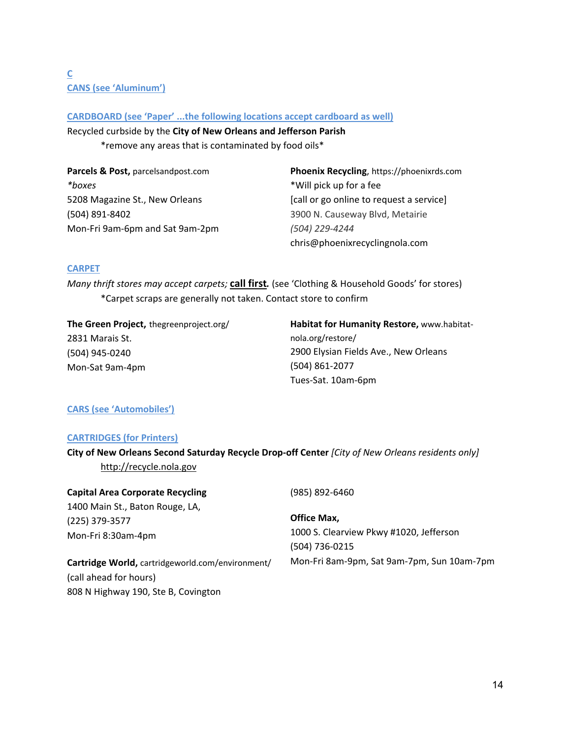# **C CANS (see 'Aluminum')**

# **CARDBOARD (see 'Paper' ...the following locations accept cardboard as well)**

Recycled curbside by the **City of New Orleans and Jefferson Parish** 

\*remove any areas that is contaminated by food oils\*

| Parcels & Post, parcelsandpost.com | Phoenix Recycling, https://phoenixrds.com |
|------------------------------------|-------------------------------------------|
| *boxes                             | *Will pick up for a fee                   |
| 5208 Magazine St., New Orleans     | [call or go online to request a service]  |
| (504) 891-8402                     | 3900 N. Causeway Blvd, Metairie           |
| Mon-Fri 9am-6pm and Sat 9am-2pm    | (504) 229-4244                            |
|                                    | chris@phoenixrecyclingnola.com            |

# **CARPET**

*Many thrift stores may accept carpets;* **call first***.* (see 'Clothing & Household Goods' for stores) \*Carpet scraps are generally not taken. Contact store to confirm

**The Green Project,** thegreenproject.org/ 2831 Marais St. (504) 945‐0240 Mon‐Sat 9am‐4pm

**Habitat for Humanity Restore,** www.habitat‐ nola.org/restore/ 2900 Elysian Fields Ave., New Orleans (504) 861‐2077 Tues‐Sat. 10am‐6pm

# **CARS (see 'Automobiles')**

# **CARTRIDGES (for Printers)**

**City of New Orleans Second Saturday Recycle Drop‐off Center** *[City of New Orleans residents only]*  http://recycle.nola.gov

# **Capital Area Corporate Recycling**

1400 Main St., Baton Rouge, LA, (225) 379‐3577 Mon‐Fri 8:30am‐4pm

**Cartridge World,** cartridgeworld.com/environment/ (call ahead for hours) 808 N Highway 190, Ste B, Covington

# (985) 892‐6460

**Office Max,** 1000 S. Clearview Pkwy #1020, Jefferson (504) 736‐0215 Mon‐Fri 8am‐9pm, Sat 9am‐7pm, Sun 10am‐7pm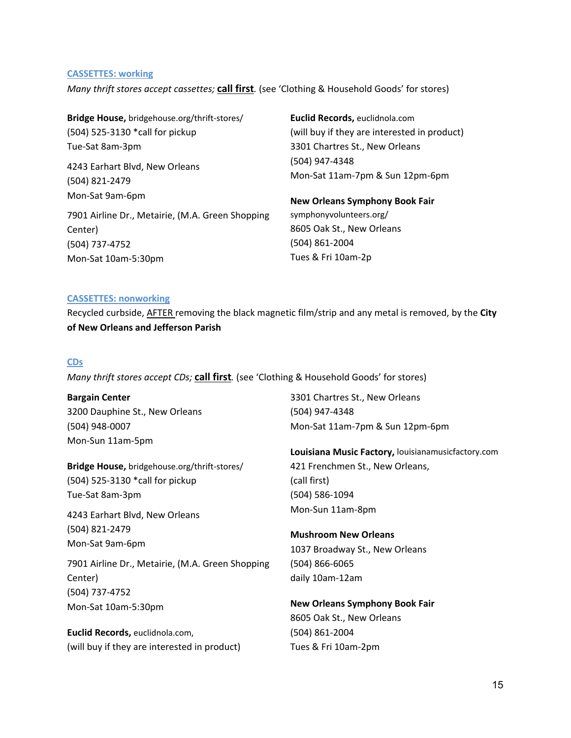#### **CASSETTES: working**

*Many thrift stores accept cassettes;* **call first***.* (see 'Clothing & Household Goods' for stores)

| Bridge House, bridgehouse.org/thrift-stores/     | Euclid Records, euclidnola.com               |  |
|--------------------------------------------------|----------------------------------------------|--|
| (504) 525-3130 *call for pickup                  | (will buy if they are interested in product) |  |
| Tue-Sat 8am-3pm                                  | 3301 Chartres St., New Orleans               |  |
| 4243 Earhart Blvd, New Orleans                   | (504) 947-4348                               |  |
| (504) 821-2479                                   | Mon-Sat 11am-7pm & Sun 12pm-6pm              |  |
| Mon-Sat 9am-6pm                                  | <b>New Orleans Symphony Book Fair</b>        |  |
| 7901 Airline Dr., Metairie, (M.A. Green Shopping | symphonyvolunteers.org/                      |  |
| Center)                                          | 8605 Oak St., New Orleans                    |  |
| (504) 737-4752                                   | (504) 861-2004                               |  |
| Mon-Sat 10am-5:30pm                              | Tues & Fri 10am-2p                           |  |

#### **CASSETTES: nonworking**

Recycled curbside, AFTER removing the black magnetic film/strip and any metal is removed, by the **City of New Orleans and Jefferson Parish** 

#### **CDs**

*Many thrift stores accept CDs;* **call first***.* (see 'Clothing & Household Goods' for stores)

**Bargain Center**  3200 Dauphine St., New Orleans (504) 948‐0007 Mon‐Sun 11am‐5pm

**Bridge House,** bridgehouse.org/thrift‐stores/ (504) 525‐3130 \*call for pickup Tue‐Sat 8am‐3pm

4243 Earhart Blvd, New Orleans (504) 821‐2479 Mon‐Sat 9am‐6pm

7901 Airline Dr., Metairie, (M.A. Green Shopping Center) (504) 737‐4752 Mon‐Sat 10am‐5:30pm

**Euclid Records,** euclidnola.com, (will buy if they are interested in product) 3301 Chartres St., New Orleans (504) 947‐4348 Mon‐Sat 11am‐7pm & Sun 12pm‐6pm

**Louisiana Music Factory,** louisianamusicfactory.com 421 Frenchmen St., New Orleans, (call first) (504) 586‐1094 Mon‐Sun 11am‐8pm

**Mushroom New Orleans** 1037 Broadway St., New Orleans (504) 866‐6065 daily 10am‐12am

**New Orleans Symphony Book Fair**  8605 Oak St., New Orleans (504) 861‐2004 Tues & Fri 10am‐2pm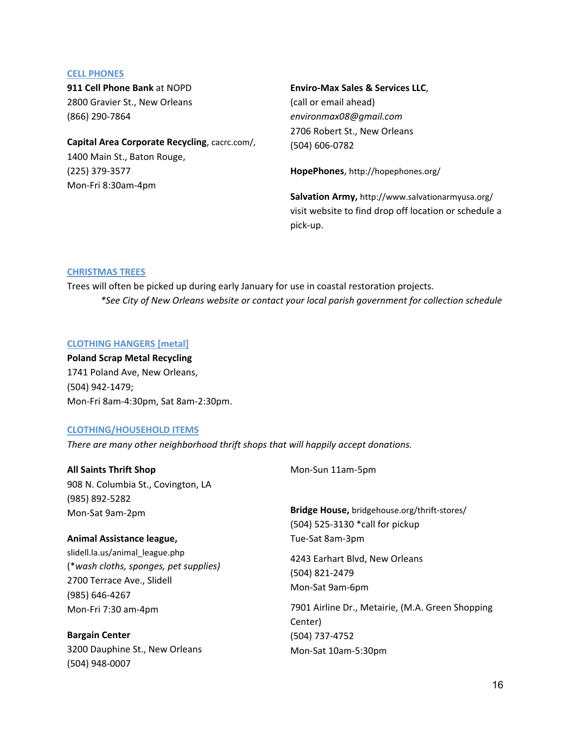#### **CELL PHONES**

**911 Cell Phone Bank** at NOPD 2800 Gravier St., New Orleans (866) 290‐7864

**Capital Area Corporate Recycling**, cacrc.com/, 1400 Main St., Baton Rouge, (225) 379‐3577 Mon‐Fri 8:30am‐4pm

#### **Enviro‐Max Sales & Services LLC**,

(call or email ahead) *environmax08@gmail.com*  2706 Robert St., New Orleans (504) 606‐0782

**HopePhones**, http://hopephones.org/

**Salvation Army,** http://www.salvationarmyusa.org/ visit website to find drop off location or schedule a pick‐up.

#### **CHRISTMAS TREES**

Trees will often be picked up during early January for use in coastal restoration projects. *\*See City of New Orleans website or contact your local parish government for collection schedule*

#### **CLOTHING HANGERS [metal]**

**Poland Scrap Metal Recycling** 1741 Poland Ave, New Orleans, (504) 942‐1479; Mon‐Fri 8am‐4:30pm, Sat 8am‐2:30pm.

#### **CLOTHING/HOUSEHOLD ITEMS**

*There are many other neighborhood thrift shops that will happily accept donations.* 

| <b>All Saints Thrift Shop</b>         | Mon-Sun 11am-5pm                                 |
|---------------------------------------|--------------------------------------------------|
| 908 N. Columbia St., Covington, LA    |                                                  |
| (985) 892-5282                        |                                                  |
| Mon-Sat 9am-2pm                       | Bridge House, bridgehouse.org/thrift-stores/     |
|                                       | (504) 525-3130 *call for pickup                  |
| Animal Assistance league,             | Tue-Sat 8am-3pm                                  |
| slidell.la.us/animal league.php       | 4243 Earhart Blvd, New Orleans                   |
| (*wash cloths, sponges, pet supplies) | (504) 821-2479                                   |
| 2700 Terrace Ave., Slidell            | Mon-Sat 9am-6pm                                  |
| (985) 646-4267                        |                                                  |
| Mon-Fri 7:30 am-4pm                   | 7901 Airline Dr., Metairie, (M.A. Green Shopping |
|                                       | Center)                                          |
| <b>Bargain Center</b>                 | (504) 737-4752                                   |
| 3200 Dauphine St., New Orleans        | Mon-Sat 10am-5:30pm                              |
| (504) 948-0007                        |                                                  |
|                                       |                                                  |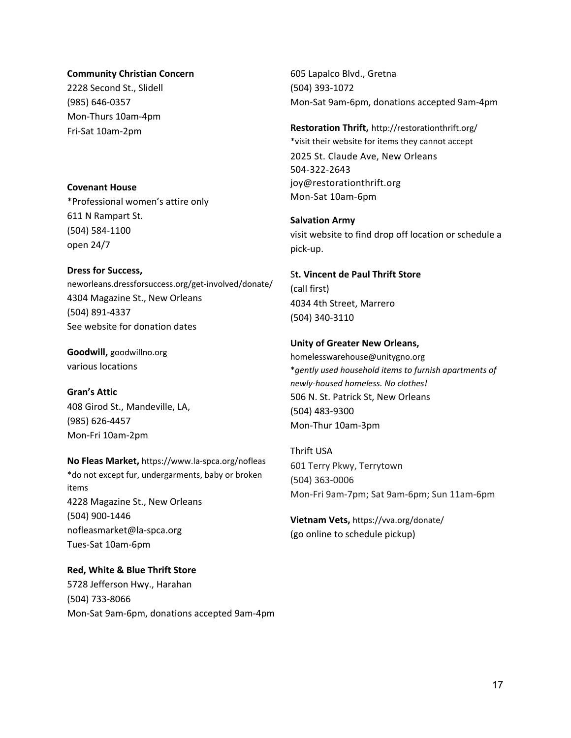#### **Community Christian Concern**

2228 Second St., Slidell (985) 646‐0357 Mon‐Thurs 10am‐4pm Fri‐Sat 10am‐2pm

## **Covenant House**

\*Professional women's attire only 611 N Rampart St. (504) 584‐1100 open 24/7

#### **Dress for Success,**

neworleans.dressforsuccess.org/get‐involved/donate/ 4304 Magazine St., New Orleans (504) 891‐4337 See website for donation dates

**Goodwill,** goodwillno.org various locations

# **Gran's Attic**

408 Girod St., Mandeville, LA, (985) 626‐4457 Mon‐Fri 10am‐2pm

**No Fleas Market,** https://www.la‐spca.org/nofleas \*do not except fur, undergarments, baby or broken items 4228 Magazine St., New Orleans (504) 900‐1446 nofleasmarket@la‐spca.org Tues‐Sat 10am‐6pm

# **Red, White & Blue Thrift Store**

5728 Jefferson Hwy., Harahan (504) 733‐8066 Mon‐Sat 9am‐6pm, donations accepted 9am‐4pm

605 Lapalco Blvd., Gretna (504) 393‐1072 Mon‐Sat 9am‐6pm, donations accepted 9am‐4pm

# **Restoration Thrift,** http://restorationthrift.org/ \*visit their website for items they cannot accept 2025 St. Claude Ave, New Orleans 504‐322‐2643 joy@restorationthrift.org Mon‐Sat 10am‐6pm

# **Salvation Army**  visit website to find drop off location or schedule a pick‐up.

# S**t. Vincent de Paul Thrift Store**  (call first) 4034 4th Street, Marrero (504) 340‐3110

# **Unity of Greater New Orleans,**

homelesswarehouse@unitygno.org \**gently used household items to furnish apartments of newly‐housed homeless. No clothes!*  506 N. St. Patrick St, New Orleans (504) 483‐9300 Mon‐Thur 10am‐3pm

Thrift USA 601 Terry Pkwy, Terrytown (504) 363‐0006 Mon‐Fri 9am‐7pm; Sat 9am‐6pm; Sun 11am‐6pm

**Vietnam Vets,** https://vva.org/donate/ (go online to schedule pickup)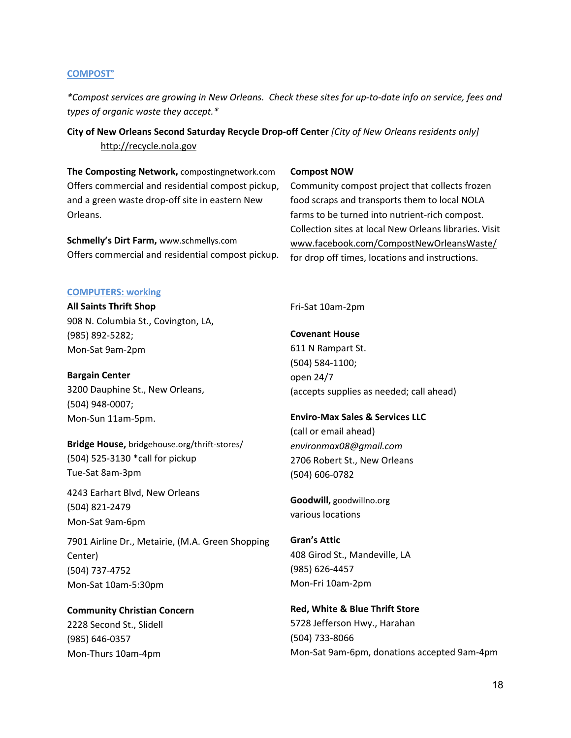#### **COMPOST°**

*\*Compost services are growing in New Orleans. Check these sites for up‐to‐date info on service, fees and types of organic waste they accept.\** 

**City of New Orleans Second Saturday Recycle Drop‐off Center** *[City of New Orleans residents only]*  http://recycle.nola.gov

**The Composting Network,** compostingnetwork.com Offers commercial and residential compost pickup, and a green waste drop-off site in eastern New Orleans.

**Schmelly's Dirt Farm,** www.schmellys.com Offers commercial and residential compost pickup.

#### **Compost NOW**

Community compost project that collects frozen food scraps and transports them to local NOLA farms to be turned into nutrient‐rich compost. Collection sites at local New Orleans libraries. Visit www.facebook.com/CompostNewOrleansWaste/ for drop off times, locations and instructions.

#### **COMPUTERS: working**

**All Saints Thrift Shop** 908 N. Columbia St., Covington, LA, (985) 892‐5282; Mon‐Sat 9am‐2pm

**Bargain Center**  3200 Dauphine St., New Orleans, (504) 948‐0007; Mon‐Sun 11am‐5pm.

**Bridge House,** bridgehouse.org/thrift‐stores/ (504) 525‐3130 \*call for pickup Tue‐Sat 8am‐3pm

4243 Earhart Blvd, New Orleans (504) 821‐2479 Mon‐Sat 9am‐6pm

7901 Airline Dr., Metairie, (M.A. Green Shopping Center) (504) 737‐4752 Mon‐Sat 10am‐5:30pm

**Community Christian Concern**  2228 Second St., Slidell (985) 646‐0357 Mon‐Thurs 10am‐4pm

Fri‐Sat 10am‐2pm

**Covenant House** 611 N Rampart St. (504) 584‐1100; open 24/7 (accepts supplies as needed; call ahead)

# **Enviro‐Max Sales & Services LLC**

(call or email ahead) *environmax08@gmail.com*  2706 Robert St., New Orleans (504) 606‐0782

**Goodwill,** goodwillno.org various locations

**Gran's Attic** 408 Girod St., Mandeville, LA (985) 626‐4457 Mon‐Fri 10am‐2pm

**Red, White & Blue Thrift Store** 5728 Jefferson Hwy., Harahan (504) 733‐8066 Mon‐Sat 9am‐6pm, donations accepted 9am‐4pm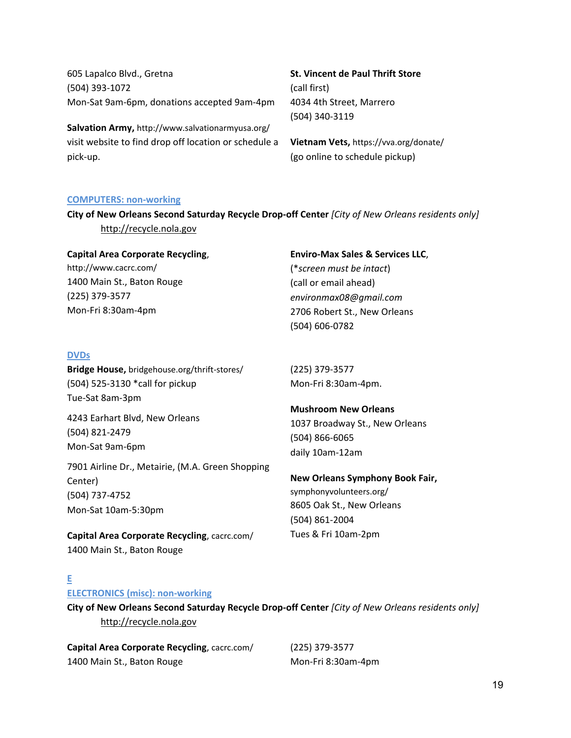605 Lapalco Blvd., Gretna (504) 393‐1072 Mon‐Sat 9am‐6pm, donations accepted 9am‐4pm

**Salvation Army,** http://www.salvationarmyusa.org/ visit website to find drop off location or schedule a pick‐up.

**St. Vincent de Paul Thrift Store**  (call first) 4034 4th Street, Marrero (504) 340‐3119

**Vietnam Vets,** https://vva.org/donate/ (go online to schedule pickup)

#### **COMPUTERS: non‐working**

**City of New Orleans Second Saturday Recycle Drop‐off Center** *[City of New Orleans residents only]*  http://recycle.nola.gov

# **Capital Area Corporate Recycling**,

http://www.cacrc.com/ 1400 Main St., Baton Rouge (225) 379‐3577 Mon‐Fri 8:30am‐4pm

# **DVDs**

**Bridge House,** bridgehouse.org/thrift‐stores/ (504) 525‐3130 \*call for pickup Tue‐Sat 8am‐3pm

4243 Earhart Blvd, New Orleans (504) 821‐2479 Mon‐Sat 9am‐6pm

7901 Airline Dr., Metairie, (M.A. Green Shopping Center) (504) 737‐4752 Mon‐Sat 10am‐5:30pm

**Capital Area Corporate Recycling**, cacrc.com/ 1400 Main St., Baton Rouge

#### **Enviro‐Max Sales & Services LLC**,

(\**screen must be intact*) (call or email ahead) *environmax08@gmail.com*  2706 Robert St., New Orleans (504) 606‐0782

(225) 379‐3577 Mon‐Fri 8:30am‐4pm.

#### **Mushroom New Orleans**

1037 Broadway St., New Orleans (504) 866‐6065 daily 10am‐12am

#### **New Orleans Symphony Book Fair,**

symphonyvolunteers.org/ 8605 Oak St., New Orleans (504) 861‐2004 Tues & Fri 10am‐2pm

# **E**

#### **ELECTRONICS (misc): non‐working**

**City of New Orleans Second Saturday Recycle Drop‐off Center** *[City of New Orleans residents only]*  http://recycle.nola.gov

**Capital Area Corporate Recycling**, cacrc.com/ 1400 Main St., Baton Rouge

(225) 379‐3577 Mon‐Fri 8:30am‐4pm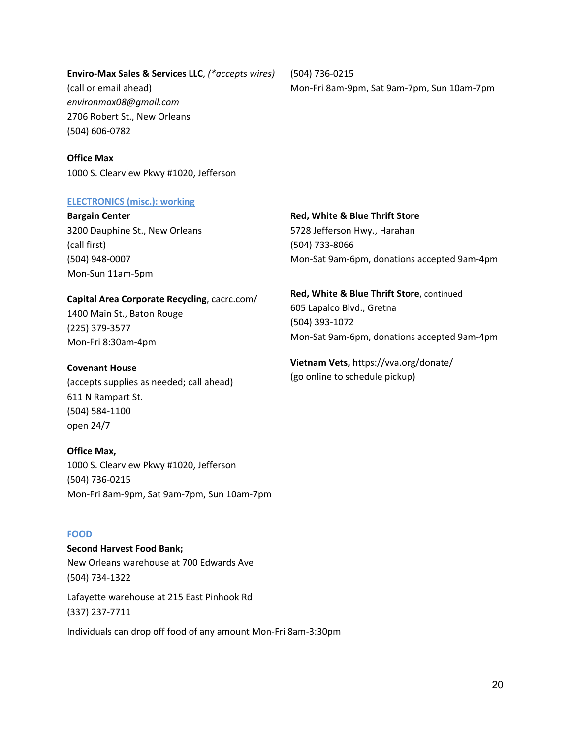# **Enviro‐Max Sales & Services LLC**, *(\*accepts wires)*

(call or email ahead) *environmax08@gmail.com*  2706 Robert St., New Orleans (504) 606‐0782

(504) 736‐0215 Mon‐Fri 8am‐9pm, Sat 9am‐7pm, Sun 10am‐7pm

**Office Max** 1000 S. Clearview Pkwy #1020, Jefferson

#### **ELECTRONICS (misc.): working**

**Bargain Center**  3200 Dauphine St., New Orleans (call first) (504) 948‐0007 Mon‐Sun 11am‐5pm

# **Capital Area Corporate Recycling**, cacrc.com/

1400 Main St., Baton Rouge (225) 379‐3577 Mon‐Fri 8:30am‐4pm

# **Covenant House**

(accepts supplies as needed; call ahead) 611 N Rampart St. (504) 584‐1100 open 24/7

# **Office Max,**

1000 S. Clearview Pkwy #1020, Jefferson (504) 736‐0215 Mon‐Fri 8am‐9pm, Sat 9am‐7pm, Sun 10am‐7pm

# **FOOD**

**Second Harvest Food Bank;**  New Orleans warehouse at 700 Edwards Ave (504) 734‐1322

Lafayette warehouse at 215 East Pinhook Rd (337) 237‐7711

Individuals can drop off food of any amount Mon‐Fri 8am‐3:30pm

# **Red, White & Blue Thrift Store** 5728 Jefferson Hwy., Harahan (504) 733‐8066 Mon‐Sat 9am‐6pm, donations accepted 9am‐4pm

# **Red, White & Blue Thrift Store**, continued 605 Lapalco Blvd., Gretna (504) 393‐1072 Mon‐Sat 9am‐6pm, donations accepted 9am‐4pm

**Vietnam Vets,** https://vva.org/donate/ (go online to schedule pickup)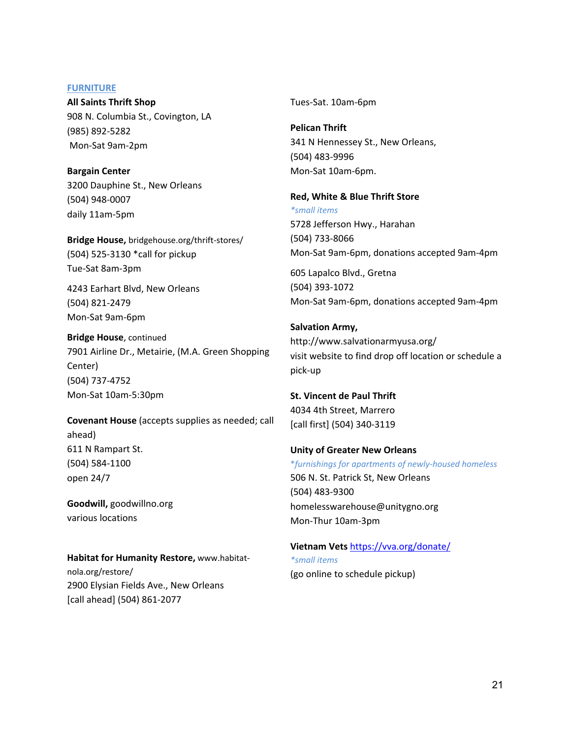#### **FURNITURE**

**All Saints Thrift Shop** 908 N. Columbia St., Covington, LA (985) 892‐5282 Mon‐Sat 9am‐2pm

**Bargain Center**  3200 Dauphine St., New Orleans (504) 948‐0007 daily 11am‐5pm

**Bridge House,** bridgehouse.org/thrift‐stores/ (504) 525‐3130 \*call for pickup Tue‐Sat 8am‐3pm

4243 Earhart Blvd, New Orleans (504) 821‐2479 Mon‐Sat 9am‐6pm

**Bridge House**, continued 7901 Airline Dr., Metairie, (M.A. Green Shopping Center) (504) 737‐4752 Mon‐Sat 10am‐5:30pm

**Covenant House** (accepts supplies as needed; call ahead) 611 N Rampart St. (504) 584‐1100 open 24/7

**Goodwill,** goodwillno.org various locations

**Habitat for Humanity Restore,** www.habitat‐ nola.org/restore/ 2900 Elysian Fields Ave., New Orleans [call ahead] (504) 861‐2077

Tues‐Sat. 10am‐6pm

**Pelican Thrift**  341 N Hennessey St., New Orleans, (504) 483‐9996 Mon‐Sat 10am‐6pm.

**Red, White & Blue Thrift Store**  *\*small items* 5728 Jefferson Hwy., Harahan (504) 733‐8066 Mon‐Sat 9am‐6pm, donations accepted 9am‐4pm 605 Lapalco Blvd., Gretna (504) 393‐1072

Mon‐Sat 9am‐6pm, donations accepted 9am‐4pm

**Salvation Army,** http://www.salvationarmyusa.org/ visit website to find drop off location or schedule a pick‐up

**St. Vincent de Paul Thrift**  4034 4th Street, Marrero [call first] (504) 340‐3119

**Unity of Greater New Orleans**  \**furnishings for apartments of newly‐housed homeless*  506 N. St. Patrick St, New Orleans (504) 483‐9300 homelesswarehouse@unitygno.org Mon‐Thur 10am‐3pm

**Vietnam Vets** https://vva.org/donate/ *\*small items* (go online to schedule pickup)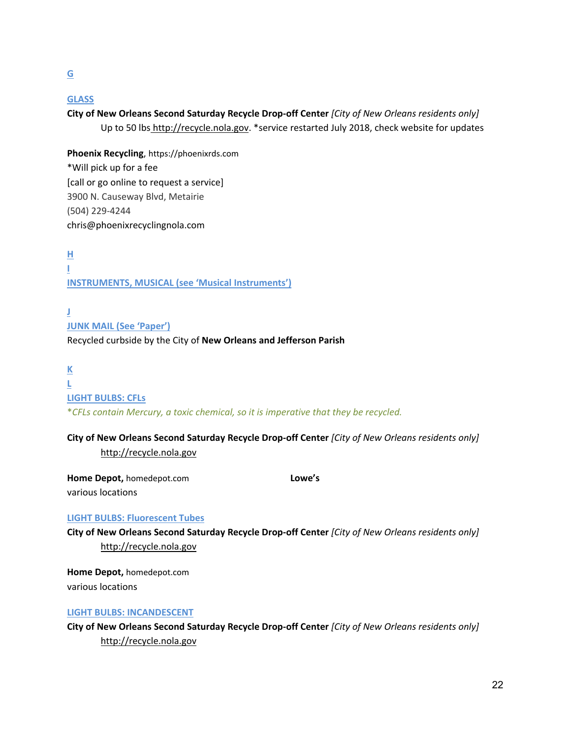# **GLASS**

**City of New Orleans Second Saturday Recycle Drop‐off Center** *[City of New Orleans residents only]*  Up to 50 lbs http://recycle.nola.gov. \*service restarted July 2018, check website for updates

**Phoenix Recycling**, https://phoenixrds.com \*Will pick up for a fee [call or go online to request a service] 3900 N. Causeway Blvd, Metairie (504) 229‐4244 chris@phoenixrecyclingnola.com

**H I INSTRUMENTS, MUSICAL (see 'Musical Instruments')**

**J JUNK MAIL (See 'Paper')** Recycled curbside by the City of **New Orleans and Jefferson Parish**

**K L LIGHT BULBS: CFLs**

\**CFLs contain Mercury, a toxic chemical, so it is imperative that they be recycled.* 

**City of New Orleans Second Saturday Recycle Drop‐off Center** *[City of New Orleans residents only]*  http://recycle.nola.gov

**Home Depot,** homedepot.com various locations

**Lowe's** 

## **LIGHT BULBS: Fluorescent Tubes**

**City of New Orleans Second Saturday Recycle Drop‐off Center** *[City of New Orleans residents only]*  http://recycle.nola.gov

**Home Depot,** homedepot.com various locations

#### **LIGHT BULBS: INCANDESCENT**

**City of New Orleans Second Saturday Recycle Drop‐off Center** *[City of New Orleans residents only]*  http://recycle.nola.gov

**G**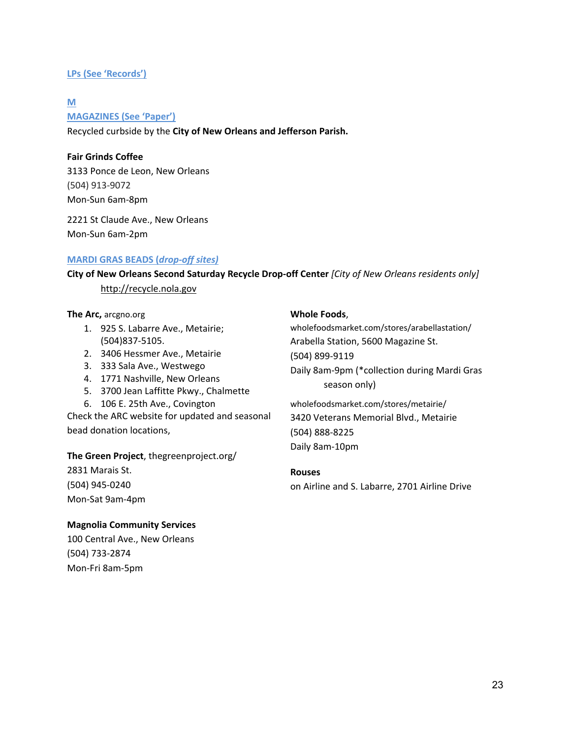# **LPs (See 'Records')**

#### **M**

**MAGAZINES (See 'Paper')**

Recycled curbside by the **City of New Orleans and Jefferson Parish.**

# **Fair Grinds Coffee**

3133 Ponce de Leon, New Orleans (504) 913‐9072 Mon‐Sun 6am‐8pm

2221 St Claude Ave., New Orleans Mon‐Sun 6am‐2pm

# **MARDI GRAS BEADS (***drop‐off sites)*

**City of New Orleans Second Saturday Recycle Drop‐off Center** *[City of New Orleans residents only]*  http://recycle.nola.gov

#### **The Arc,** arcgno.org

- 1. 925 S. Labarre Ave., Metairie; (504)837‐5105.
- 2. 3406 Hessmer Ave., Metairie
- 3. 333 Sala Ave., Westwego
- 4. 1771 Nashville, New Orleans
- 5. 3700 Jean Laffitte Pkwy., Chalmette
- 6. 106 E. 25th Ave., Covington

Check the ARC website for updated and seasonal bead donation locations,

# **The Green Project**, thegreenproject.org/

2831 Marais St. (504) 945‐0240 Mon‐Sat 9am‐4pm

# **Magnolia Community Services**

100 Central Ave., New Orleans (504) 733‐2874 Mon‐Fri 8am‐5pm

# **Whole Foods**,

wholefoodsmarket.com/stores/arabellastation/ Arabella Station, 5600 Magazine St. (504) 899‐9119 Daily 8am‐9pm (\*collection during Mardi Gras season only)

wholefoodsmarket.com/stores/metairie/ 3420 Veterans Memorial Blvd., Metairie (504) 888‐8225 Daily 8am‐10pm

# **Rouses**

on Airline and S. Labarre, 2701 Airline Drive

23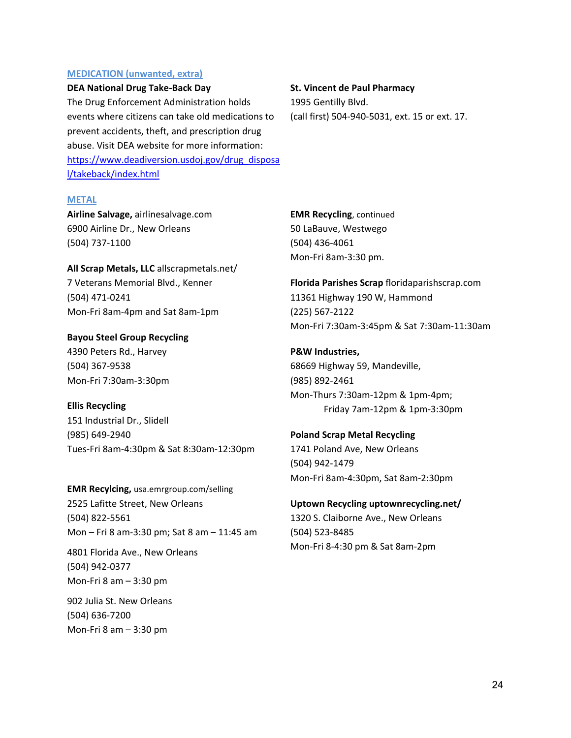#### **MEDICATION (unwanted, extra)**

#### **DEA National Drug Take‐Back Day**

The Drug Enforcement Administration holds events where citizens can take old medications to prevent accidents, theft, and prescription drug abuse. Visit DEA website for more information: https://www.deadiversion.usdoj.gov/drug\_disposa l/takeback/index.html

# **St. Vincent de Paul Pharmacy**

1995 Gentilly Blvd. (call first) 504‐940‐5031, ext. 15 or ext. 17.

#### **METAL**

**Airline Salvage,** airlinesalvage.com 6900 Airline Dr., New Orleans (504) 737‐1100

**All Scrap Metals, LLC** allscrapmetals.net/ 7 Veterans Memorial Blvd., Kenner (504) 471‐0241 Mon‐Fri 8am‐4pm and Sat 8am‐1pm

**Bayou Steel Group Recycling**  4390 Peters Rd., Harvey (504) 367‐9538 Mon‐Fri 7:30am‐3:30pm

**Ellis Recycling** 151 Industrial Dr., Slidell (985) 649‐2940 Tues‐Fri 8am‐4:30pm & Sat 8:30am‐12:30pm

**EMR Recylcing,** usa.emrgroup.com/selling 2525 Lafitte Street, New Orleans (504) 822‐5561 Mon – Fri 8 am‐3:30 pm; Sat 8 am – 11:45 am

4801 Florida Ave., New Orleans (504) 942‐0377 Mon‐Fri 8 am – 3:30 pm

902 Julia St. New Orleans (504) 636‐7200 Mon‐Fri 8 am – 3:30 pm

**EMR Recycling**, continued 50 LaBauve, Westwego (504) 436‐4061 Mon‐Fri 8am‐3:30 pm.

**Florida Parishes Scrap** floridaparishscrap.com 11361 Highway 190 W, Hammond (225) 567‐2122 Mon‐Fri 7:30am‐3:45pm & Sat 7:30am‐11:30am

**P&W Industries,** 68669 Highway 59, Mandeville, (985) 892‐2461 Mon‐Thurs 7:30am‐12pm & 1pm‐4pm; Friday 7am‐12pm & 1pm‐3:30pm

**Poland Scrap Metal Recycling** 1741 Poland Ave, New Orleans (504) 942‐1479 Mon‐Fri 8am‐4:30pm, Sat 8am‐2:30pm

**Uptown Recycling uptownrecycling.net/**  1320 S. Claiborne Ave., New Orleans (504) 523‐8485 Mon‐Fri 8‐4:30 pm & Sat 8am‐2pm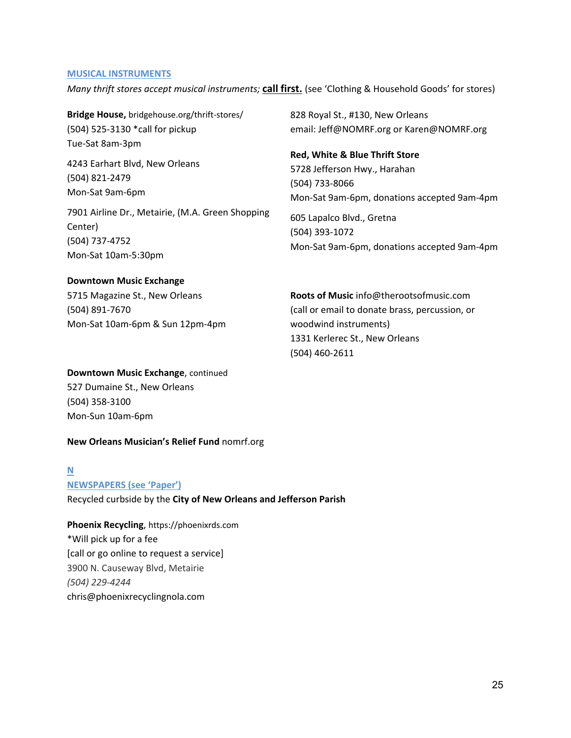#### **MUSICAL INSTRUMENTS**

*Many thrift stores accept musical instruments;* **call first.** (see 'Clothing & Household Goods' for stores)

**Bridge House,** bridgehouse.org/thrift‐stores/ (504) 525‐3130 \*call for pickup Tue‐Sat 8am‐3pm

4243 Earhart Blvd, New Orleans (504) 821‐2479 Mon‐Sat 9am‐6pm

7901 Airline Dr., Metairie, (M.A. Green Shopping Center) (504) 737‐4752 Mon‐Sat 10am‐5:30pm

#### **Downtown Music Exchange**

5715 Magazine St., New Orleans (504) 891‐7670 Mon‐Sat 10am‐6pm & Sun 12pm‐4pm

**Downtown Music Exchange**, continued

527 Dumaine St., New Orleans (504) 358‐3100 Mon‐Sun 10am‐6pm

#### **New Orleans Musician's Relief Fund** nomrf.org

#### **N**

**NEWSPAPERS (see 'Paper')**

Recycled curbside by the **City of New Orleans and Jefferson Parish** 

**Phoenix Recycling**, https://phoenixrds.com \*Will pick up for a fee [call or go online to request a service] 3900 N. Causeway Blvd, Metairie *(504) 229‐4244*  chris@phoenixrecyclingnola.com

828 Royal St., #130, New Orleans email: Jeff@NOMRF.org or Karen@NOMRF.org

**Red, White & Blue Thrift Store** 5728 Jefferson Hwy., Harahan (504) 733‐8066 Mon‐Sat 9am‐6pm, donations accepted 9am‐4pm

605 Lapalco Blvd., Gretna (504) 393‐1072 Mon‐Sat 9am‐6pm, donations accepted 9am‐4pm

**Roots of Music** info@therootsofmusic.com (call or email to donate brass, percussion, or woodwind instruments) 1331 Kerlerec St., New Orleans (504) 460‐2611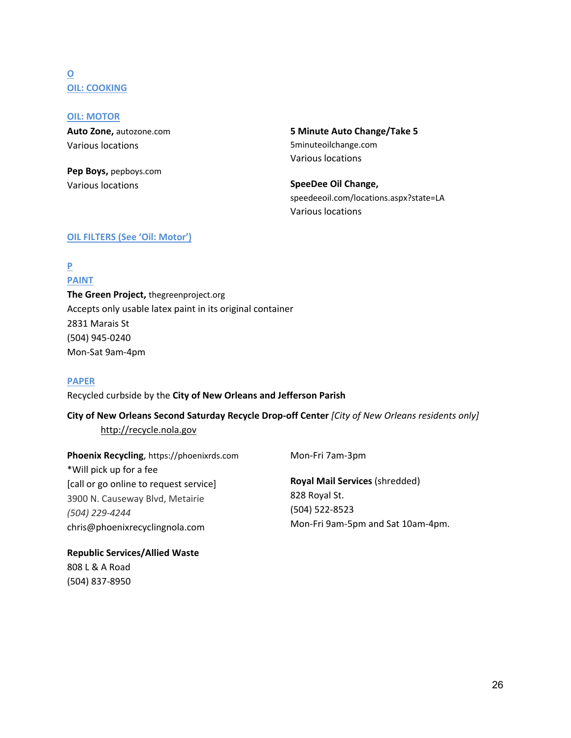# **O OIL: COOKING**

**OIL: MOTOR Auto Zone,** autozone.com Various locations

**Pep Boys,** pepboys.com Various locations

**5 Minute Auto Change/Take 5** 5minuteoilchange.com Various locations

**SpeeDee Oil Change,**  speedeeoil.com/locations.aspx?state=LA Various locations

# **OIL FILTERS (See 'Oil: Motor')**

**P PAINT** 

# **The Green Project,** thegreenproject.org Accepts only usable latex paint in its original container 2831 Marais St (504) 945‐0240 Mon‐Sat 9am‐4pm

# **PAPER**

# Recycled curbside by the **City of New Orleans and Jefferson Parish**

# **City of New Orleans Second Saturday Recycle Drop‐off Center** *[City of New Orleans residents only]*

# http://recycle.nola.gov

**Phoenix Recycling**, https://phoenixrds.com \*Will pick up for a fee [call or go online to request service] 3900 N. Causeway Blvd, Metairie *(504) 229‐4244*  chris@phoenixrecyclingnola.com

**Republic Services/Allied Waste** 808 L & A Road

(504) 837‐8950

Mon‐Fri 7am‐3pm

**Royal Mail Services** (shredded) 828 Royal St. (504) 522‐8523 Mon‐Fri 9am‐5pm and Sat 10am‐4pm.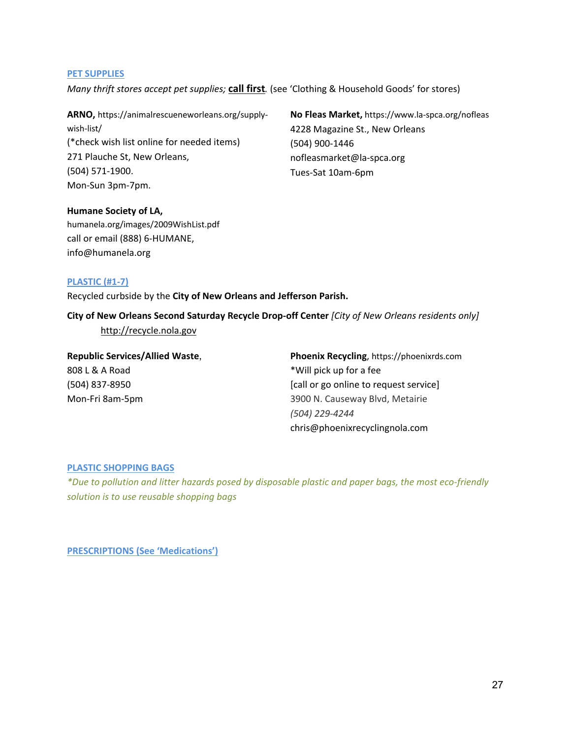#### **PET SUPPLIES**

*Many thrift stores accept pet supplies;* **call first***.* (see 'Clothing & Household Goods' for stores)

**ARNO,** https://animalrescueneworleans.org/supply‐ wish‐list/ (\*check wish list online for needed items) 271 Plauche St, New Orleans, (504) 571‐1900. Mon‐Sun 3pm‐7pm.

**No Fleas Market,** https://www.la‐spca.org/nofleas 4228 Magazine St., New Orleans (504) 900‐1446 nofleasmarket@la‐spca.org Tues‐Sat 10am‐6pm

# **Humane Society of LA,**

humanela.org/images/2009WishList.pdf call or email (888) 6‐HUMANE, info@humanela.org

# **PLASTIC (#1‐7)**

Recycled curbside by the **City of New Orleans and Jefferson Parish.** 

**City of New Orleans Second Saturday Recycle Drop‐off Center** *[City of New Orleans residents only]*  http://recycle.nola.gov

| <b>Republic Services/Allied Waste,</b> | Phoenix Recycling, https://phoenixrds.com |
|----------------------------------------|-------------------------------------------|
| 808 L & A Road                         | *Will pick up for a fee                   |
| (504) 837-8950                         | [call or go online to request service]    |
| Mon-Fri 8am-5pm                        | 3900 N. Causeway Blvd, Metairie           |
|                                        | (504) 229-4244                            |
|                                        | chris@phoenixrecyclingnola.com            |

# **PLASTIC SHOPPING BAGS**

*\*Due to pollution and litter hazards posed by disposable plastic and paper bags, the most eco‐friendly solution is to use reusable shopping bags*

**PRESCRIPTIONS (See 'Medications')**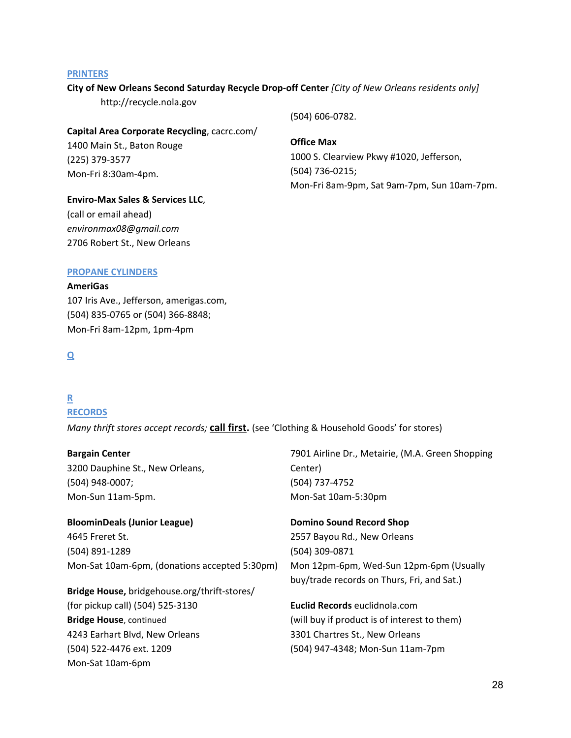#### **PRINTERS**

## **City of New Orleans Second Saturday Recycle Drop‐off Center** *[City of New Orleans residents only]*

http://recycle.nola.gov

## **Capital Area Corporate Recycling**, cacrc.com/

1400 Main St., Baton Rouge (225) 379‐3577 Mon‐Fri 8:30am‐4pm.

# (504) 606‐0782.

# **Office Max**

1000 S. Clearview Pkwy #1020, Jefferson, (504) 736‐0215; Mon‐Fri 8am‐9pm, Sat 9am‐7pm, Sun 10am‐7pm.

# **Enviro‐Max Sales & Services LLC**, (call or email ahead)

*environmax08@gmail.com*  2706 Robert St., New Orleans

# **PROPANE CYLINDERS**

# **AmeriGas**

107 Iris Ave., Jefferson, amerigas.com, (504) 835‐0765 or (504) 366‐8848; Mon‐Fri 8am‐12pm, 1pm‐4pm

# **Q**

# **R**

# **RECORDS**

*Many thrift stores accept records;* **call first.** (see 'Clothing & Household Goods' for stores)

# **Bargain Center**

3200 Dauphine St., New Orleans, (504) 948‐0007; Mon‐Sun 11am‐5pm.

# **BloominDeals (Junior League)**  4645 Freret St. (504) 891‐1289 Mon‐Sat 10am‐6pm, (donations accepted 5:30pm)

**Bridge House,** bridgehouse.org/thrift‐stores/ (for pickup call) (504) 525‐3130 **Bridge House**, continued 4243 Earhart Blvd, New Orleans (504) 522‐4476 ext. 1209 Mon‐Sat 10am‐6pm

# 7901 Airline Dr., Metairie, (M.A. Green Shopping Center) (504) 737‐4752 Mon‐Sat 10am‐5:30pm

# **Domino Sound Record Shop**  2557 Bayou Rd., New Orleans (504) 309‐0871 Mon 12pm‐6pm, Wed‐Sun 12pm‐6pm (Usually buy/trade records on Thurs, Fri, and Sat.)

**Euclid Records** euclidnola.com (will buy if product is of interest to them) 3301 Chartres St., New Orleans (504) 947‐4348; Mon‐Sun 11am‐7pm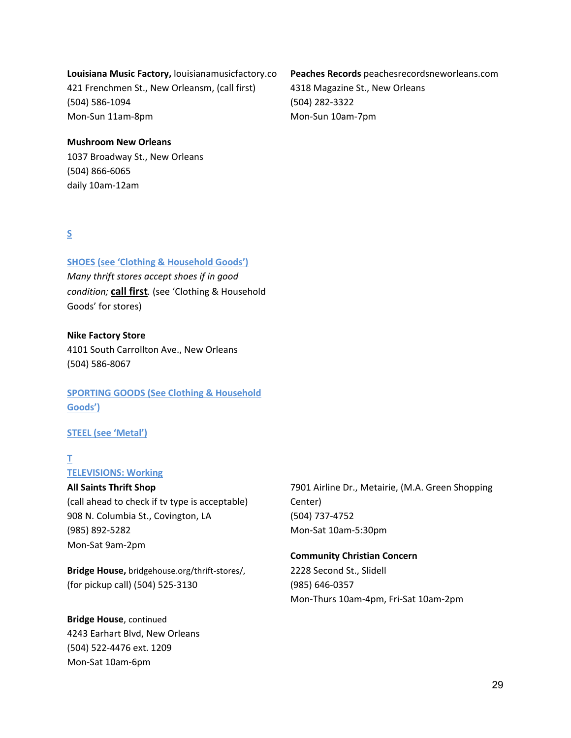# **Louisiana Music Factory,** louisianamusicfactory.co

421 Frenchmen St., New Orleansm, (call first) (504) 586‐1094 Mon‐Sun 11am‐8pm

# **Peaches Records** peachesrecordsneworleans.com 4318 Magazine St., New Orleans (504) 282‐3322 Mon‐Sun 10am‐7pm

#### **Mushroom New Orleans**

1037 Broadway St., New Orleans (504) 866‐6065 daily 10am‐12am

# **S**

# **SHOES (see 'Clothing & Household Goods')**

*Many thrift stores accept shoes if in good condition;* **call first***.* (see 'Clothing & Household Goods' for stores)

#### **Nike Factory Store**

4101 South Carrollton Ave., New Orleans (504) 586‐8067

# **SPORTING GOODS (See Clothing & Household Goods')**

# **STEEL (see 'Metal')**

# **T**

# **TELEVISIONS: Working**

## **All Saints Thrift Shop**

(call ahead to check if tv type is acceptable) 908 N. Columbia St., Covington, LA (985) 892‐5282 Mon‐Sat 9am‐2pm

**Bridge House,** bridgehouse.org/thrift‐stores/, (for pickup call) (504) 525‐3130

**Bridge House**, continued 4243 Earhart Blvd, New Orleans (504) 522‐4476 ext. 1209 Mon‐Sat 10am‐6pm

7901 Airline Dr., Metairie, (M.A. Green Shopping Center) (504) 737‐4752 Mon‐Sat 10am‐5:30pm

# **Community Christian Concern**  2228 Second St., Slidell (985) 646‐0357 Mon‐Thurs 10am‐4pm, Fri‐Sat 10am‐2pm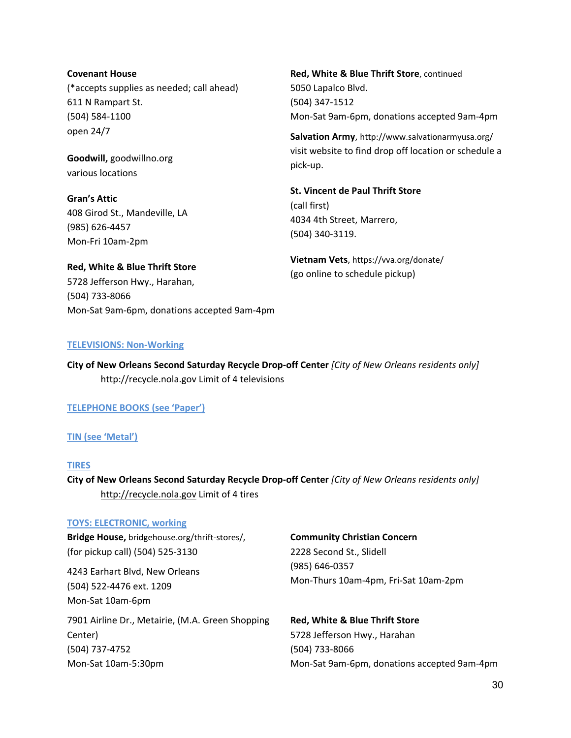## **Covenant House**

(\*accepts supplies as needed; call ahead) 611 N Rampart St. (504) 584‐1100 open 24/7

**Goodwill,** goodwillno.org various locations

**Gran's Attic** 408 Girod St., Mandeville, LA (985) 626‐4457 Mon‐Fri 10am‐2pm

**Red, White & Blue Thrift Store** 5728 Jefferson Hwy., Harahan,

Mon‐Sat 9am‐6pm, donations accepted 9am‐4pm

**Red, White & Blue Thrift Store**, continued 5050 Lapalco Blvd. (504) 347‐1512 Mon‐Sat 9am‐6pm, donations accepted 9am‐4pm

**Salvation Army**, http://www.salvationarmyusa.org/ visit website to find drop off location or schedule a pick‐up.

**St. Vincent de Paul Thrift Store**  (call first) 4034 4th Street, Marrero, (504) 340‐3119.

**Vietnam Vets**, https://vva.org/donate/ (go online to schedule pickup)

#### **TELEVISIONS: Non‐Working**

**City of New Orleans Second Saturday Recycle Drop‐off Center** *[City of New Orleans residents only]*  http://recycle.nola.gov Limit of 4 televisions

**TELEPHONE BOOKS (see 'Paper')**

#### **TIN (see 'Metal')**

(504) 733‐8066

#### **TIRES**

**City of New Orleans Second Saturday Recycle Drop‐off Center** *[City of New Orleans residents only]*  http://recycle.nola.gov Limit of 4 tires

#### **TOYS: ELECTRONIC, working**

**Bridge House,** bridgehouse.org/thrift‐stores/, (for pickup call) (504) 525‐3130

4243 Earhart Blvd, New Orleans (504) 522‐4476 ext. 1209 Mon‐Sat 10am‐6pm

7901 Airline Dr., Metairie, (M.A. Green Shopping Center) (504) 737‐4752 Mon‐Sat 10am‐5:30pm

#### **Community Christian Concern**

2228 Second St., Slidell (985) 646‐0357 Mon‐Thurs 10am‐4pm, Fri‐Sat 10am‐2pm

**Red, White & Blue Thrift Store** 5728 Jefferson Hwy., Harahan (504) 733‐8066 Mon‐Sat 9am‐6pm, donations accepted 9am‐4pm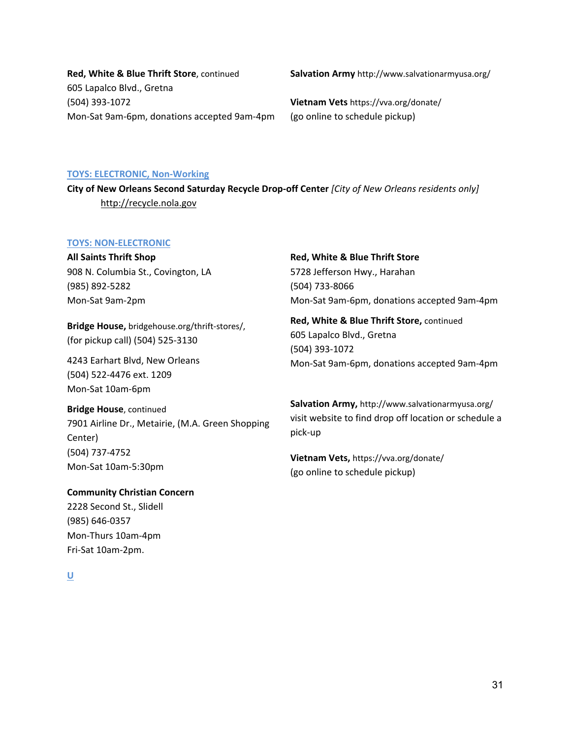**Red, White & Blue Thrift Store**, continued 605 Lapalco Blvd., Gretna (504) 393‐1072 Mon‐Sat 9am‐6pm, donations accepted 9am‐4pm **Salvation Army** http://www.salvationarmyusa.org/

**Vietnam Vets** https://vva.org/donate/ (go online to schedule pickup)

#### **TOYS: ELECTRONIC, Non‐Working**

**City of New Orleans Second Saturday Recycle Drop‐off Center** *[City of New Orleans residents only]*  http://recycle.nola.gov

#### **TOYS: NON‐ELECTRONIC**

**All Saints Thrift Shop** 908 N. Columbia St., Covington, LA (985) 892‐5282 Mon‐Sat 9am‐2pm

**Bridge House,** bridgehouse.org/thrift‐stores/, (for pickup call) (504) 525‐3130

4243 Earhart Blvd, New Orleans (504) 522‐4476 ext. 1209 Mon‐Sat 10am‐6pm

#### **Bridge House**, continued

7901 Airline Dr., Metairie, (M.A. Green Shopping Center) (504) 737‐4752 Mon‐Sat 10am‐5:30pm

**Community Christian Concern**  2228 Second St., Slidell (985) 646‐0357 Mon‐Thurs 10am‐4pm Fri‐Sat 10am‐2pm.

# **Red, White & Blue Thrift Store**

5728 Jefferson Hwy., Harahan (504) 733‐8066 Mon‐Sat 9am‐6pm, donations accepted 9am‐4pm

**Red, White & Blue Thrift Store,** continued 605 Lapalco Blvd., Gretna (504) 393‐1072 Mon‐Sat 9am‐6pm, donations accepted 9am‐4pm

**Salvation Army,** http://www.salvationarmyusa.org/ visit website to find drop off location or schedule a pick‐up

**Vietnam Vets,** https://vva.org/donate/ (go online to schedule pickup)

**U**